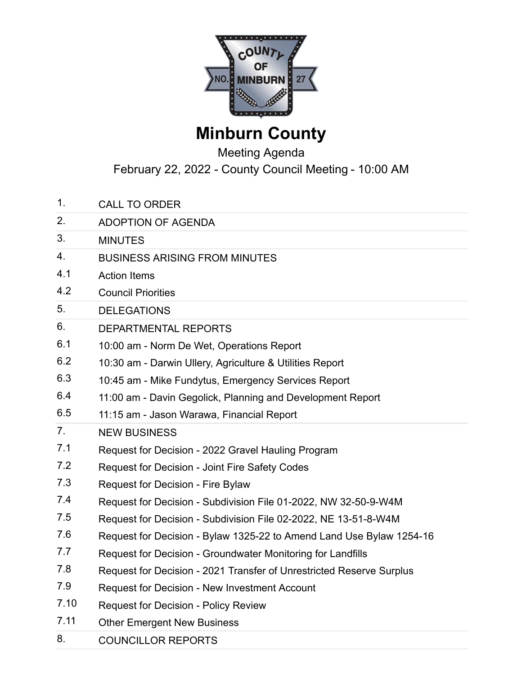

## **Minburn County**

## Meeting Agenda

February 22, 2022 - County Council Meeting - 10:00 AM

- 1. CALL TO ORDER
- 2. ADOPTION OF AGENDA
- 3. MINUTES
- 4. BUSINESS ARISING FROM MINUTES
- 4.1 Action Items
- 4.2 Council Priorities
- 5. DELEGATIONS
- 6. DEPARTMENTAL REPORTS
- 6.1 10:00 am Norm De Wet, Operations Report
- 6.2 10:30 am Darwin Ullery, Agriculture & Utilities Report
- 6.3 10:45 am Mike Fundytus, Emergency Services Report
- 6.4 11:00 am Davin Gegolick, Planning and Development Report
- 6.5 11:15 am Jason Warawa, Financial Report
- 7. NEW BUSINESS
- 7.1 Request for Decision 2022 Gravel Hauling Program
- 7.2 Request for Decision Joint Fire Safety Codes
- 7.3 Request for Decision Fire Bylaw
- 7.4 Request for Decision Subdivision File 01-2022, NW 32-50-9-W4M
- 7.5 Request for Decision Subdivision File 02-2022, NE 13-51-8-W4M
- 7.6 Request for Decision Bylaw 1325-22 to Amend Land Use Bylaw 1254-16
- 7.7 Request for Decision Groundwater Monitoring for Landfills
- 7.8 Request for Decision 2021 Transfer of Unrestricted Reserve Surplus
- 7.9 Request for Decision New Investment Account
- 7.10 Request for Decision Policy Review
- 7.11 Other Emergent New Business
- 8. COUNCILLOR REPORTS